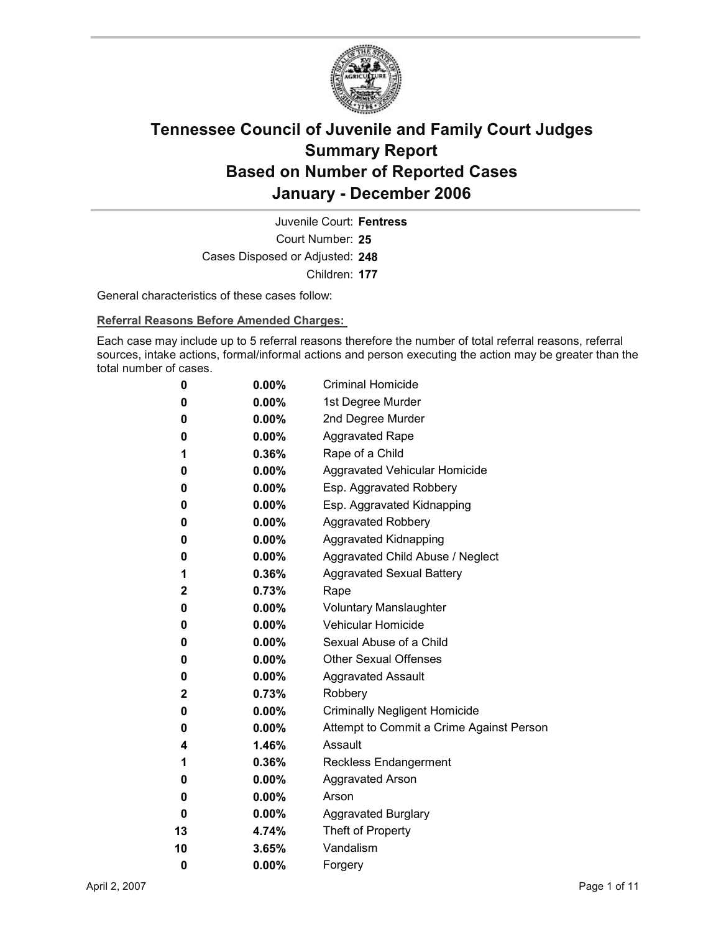

Court Number: **25** Juvenile Court: **Fentress** Cases Disposed or Adjusted: **248** Children: **177**

General characteristics of these cases follow:

**Referral Reasons Before Amended Charges:** 

Each case may include up to 5 referral reasons therefore the number of total referral reasons, referral sources, intake actions, formal/informal actions and person executing the action may be greater than the total number of cases.

| 0           | $0.00\%$ | <b>Criminal Homicide</b>                 |
|-------------|----------|------------------------------------------|
| 0           | $0.00\%$ | 1st Degree Murder                        |
| 0           | $0.00\%$ | 2nd Degree Murder                        |
| 0           | $0.00\%$ | <b>Aggravated Rape</b>                   |
| 1           | $0.36\%$ | Rape of a Child                          |
| 0           | $0.00\%$ | Aggravated Vehicular Homicide            |
| 0           | $0.00\%$ | Esp. Aggravated Robbery                  |
| 0           | $0.00\%$ | Esp. Aggravated Kidnapping               |
| 0           | $0.00\%$ | <b>Aggravated Robbery</b>                |
| 0           | $0.00\%$ | <b>Aggravated Kidnapping</b>             |
| 0           | $0.00\%$ | Aggravated Child Abuse / Neglect         |
| 1           | $0.36\%$ | <b>Aggravated Sexual Battery</b>         |
| $\mathbf 2$ | $0.73\%$ | Rape                                     |
| 0           | $0.00\%$ | <b>Voluntary Manslaughter</b>            |
| 0           | $0.00\%$ | <b>Vehicular Homicide</b>                |
| 0           | $0.00\%$ | Sexual Abuse of a Child                  |
| 0           | $0.00\%$ | <b>Other Sexual Offenses</b>             |
| 0           | $0.00\%$ | <b>Aggravated Assault</b>                |
| $\mathbf 2$ | 0.73%    | Robbery                                  |
| 0           | $0.00\%$ | <b>Criminally Negligent Homicide</b>     |
| 0           | $0.00\%$ | Attempt to Commit a Crime Against Person |
| 4           | 1.46%    | Assault                                  |
| 1           | $0.36\%$ | <b>Reckless Endangerment</b>             |
| 0           | $0.00\%$ | <b>Aggravated Arson</b>                  |
| 0           | $0.00\%$ | Arson                                    |
| 0           | $0.00\%$ | <b>Aggravated Burglary</b>               |
| 13          | 4.74%    | Theft of Property                        |
| 10          | 3.65%    | Vandalism                                |
| 0           | 0.00%    | Forgery                                  |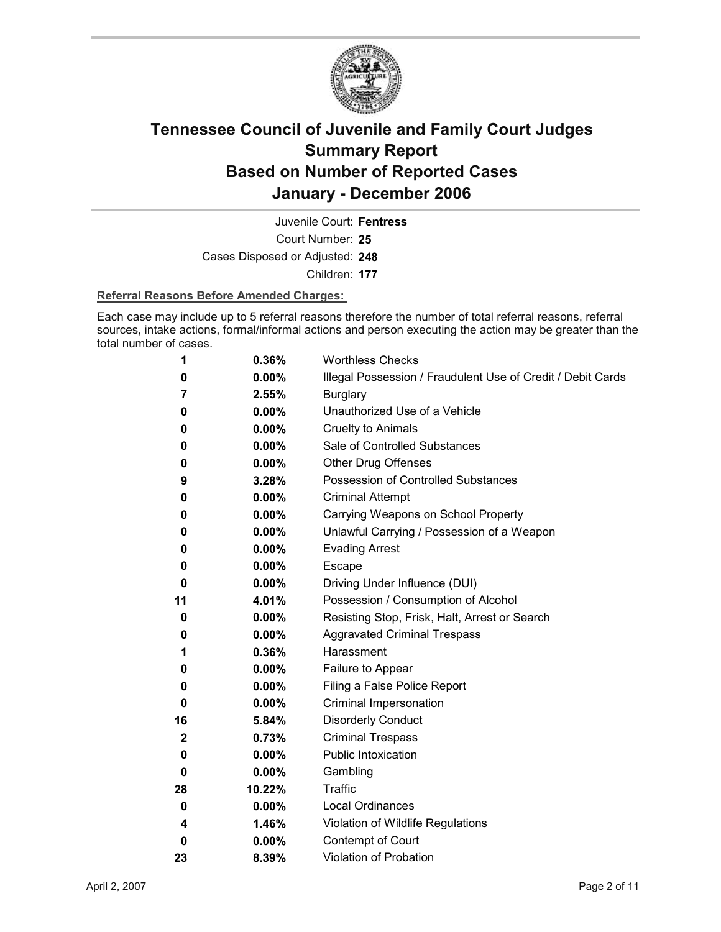

Court Number: **25** Juvenile Court: **Fentress**

Cases Disposed or Adjusted: **248**

Children: **177**

### **Referral Reasons Before Amended Charges:**

Each case may include up to 5 referral reasons therefore the number of total referral reasons, referral sources, intake actions, formal/informal actions and person executing the action may be greater than the total number of cases.

| 1  | 0.36%    | <b>Worthless Checks</b>                                     |
|----|----------|-------------------------------------------------------------|
| 0  | $0.00\%$ | Illegal Possession / Fraudulent Use of Credit / Debit Cards |
| 7  | 2.55%    | <b>Burglary</b>                                             |
| 0  | $0.00\%$ | Unauthorized Use of a Vehicle                               |
| 0  | $0.00\%$ | <b>Cruelty to Animals</b>                                   |
| 0  | $0.00\%$ | Sale of Controlled Substances                               |
| 0  | $0.00\%$ | <b>Other Drug Offenses</b>                                  |
| 9  | 3.28%    | Possession of Controlled Substances                         |
| 0  | $0.00\%$ | <b>Criminal Attempt</b>                                     |
| 0  | $0.00\%$ | Carrying Weapons on School Property                         |
| 0  | $0.00\%$ | Unlawful Carrying / Possession of a Weapon                  |
| 0  | 0.00%    | <b>Evading Arrest</b>                                       |
| 0  | $0.00\%$ | Escape                                                      |
| 0  | $0.00\%$ | Driving Under Influence (DUI)                               |
| 11 | 4.01%    | Possession / Consumption of Alcohol                         |
| 0  | $0.00\%$ | Resisting Stop, Frisk, Halt, Arrest or Search               |
| 0  | $0.00\%$ | <b>Aggravated Criminal Trespass</b>                         |
| 1  | 0.36%    | Harassment                                                  |
| 0  | $0.00\%$ | Failure to Appear                                           |
| 0  | $0.00\%$ | Filing a False Police Report                                |
| 0  | $0.00\%$ | Criminal Impersonation                                      |
| 16 | 5.84%    | <b>Disorderly Conduct</b>                                   |
| 2  | 0.73%    | <b>Criminal Trespass</b>                                    |
| 0  | $0.00\%$ | <b>Public Intoxication</b>                                  |
| 0  | 0.00%    | Gambling                                                    |
| 28 | 10.22%   | Traffic                                                     |
| 0  | $0.00\%$ | <b>Local Ordinances</b>                                     |
| 4  | 1.46%    | Violation of Wildlife Regulations                           |
| 0  | 0.00%    | Contempt of Court                                           |
| 23 | 8.39%    | <b>Violation of Probation</b>                               |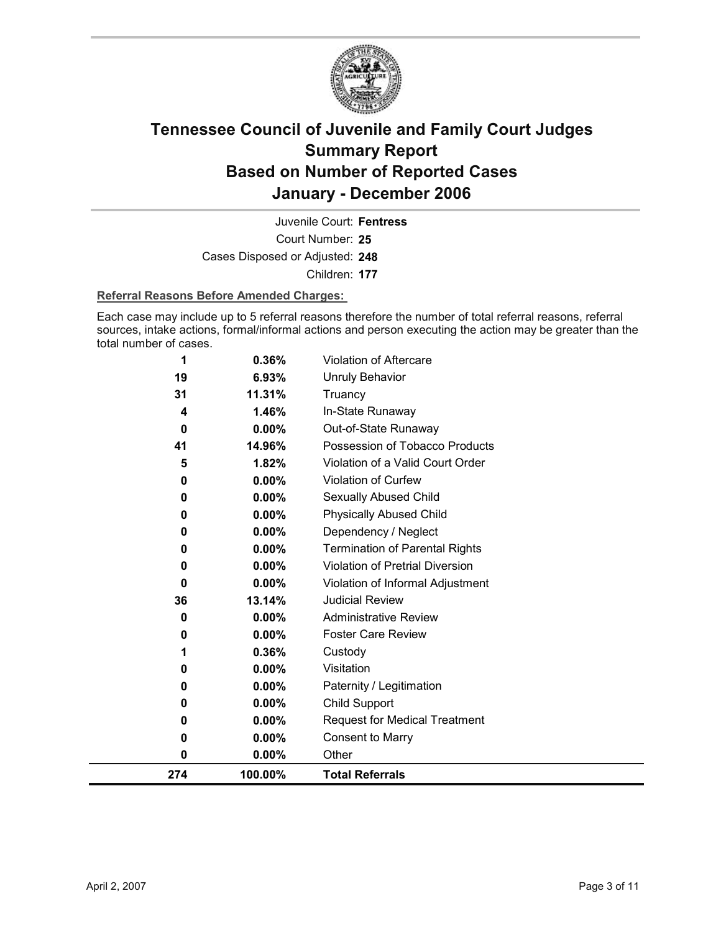

Court Number: **25** Juvenile Court: **Fentress** Cases Disposed or Adjusted: **248** Children: **177**

#### **Referral Reasons Before Amended Charges:**

Each case may include up to 5 referral reasons therefore the number of total referral reasons, referral sources, intake actions, formal/informal actions and person executing the action may be greater than the total number of cases.

| 274      | 100.00%  | <b>Total Referrals</b>                 |
|----------|----------|----------------------------------------|
| 0        | 0.00%    | Other                                  |
| 0        | 0.00%    | <b>Consent to Marry</b>                |
| 0        | $0.00\%$ | <b>Request for Medical Treatment</b>   |
| 0        | 0.00%    | Child Support                          |
| 0        | 0.00%    | Paternity / Legitimation               |
| 0        | 0.00%    | Visitation                             |
| 1        | 0.36%    | Custody                                |
| 0        | 0.00%    | <b>Foster Care Review</b>              |
| 0        | $0.00\%$ | <b>Administrative Review</b>           |
| 36       | 13.14%   | <b>Judicial Review</b>                 |
| 0        | 0.00%    | Violation of Informal Adjustment       |
| 0        | $0.00\%$ | <b>Violation of Pretrial Diversion</b> |
| 0        | 0.00%    | <b>Termination of Parental Rights</b>  |
| 0        | 0.00%    | Dependency / Neglect                   |
| 0        | 0.00%    | <b>Physically Abused Child</b>         |
| 0        | 0.00%    | Sexually Abused Child                  |
| 0        | 0.00%    | Violation of Curfew                    |
| 5        | 1.82%    | Violation of a Valid Court Order       |
| 41       | 14.96%   | Possession of Tobacco Products         |
| $\bf{0}$ | 0.00%    | Out-of-State Runaway                   |
| 4        | 1.46%    | In-State Runaway                       |
| 31       | 11.31%   | Truancy                                |
| 19       | 6.93%    | Unruly Behavior                        |
| 1        | 0.36%    | <b>Violation of Aftercare</b>          |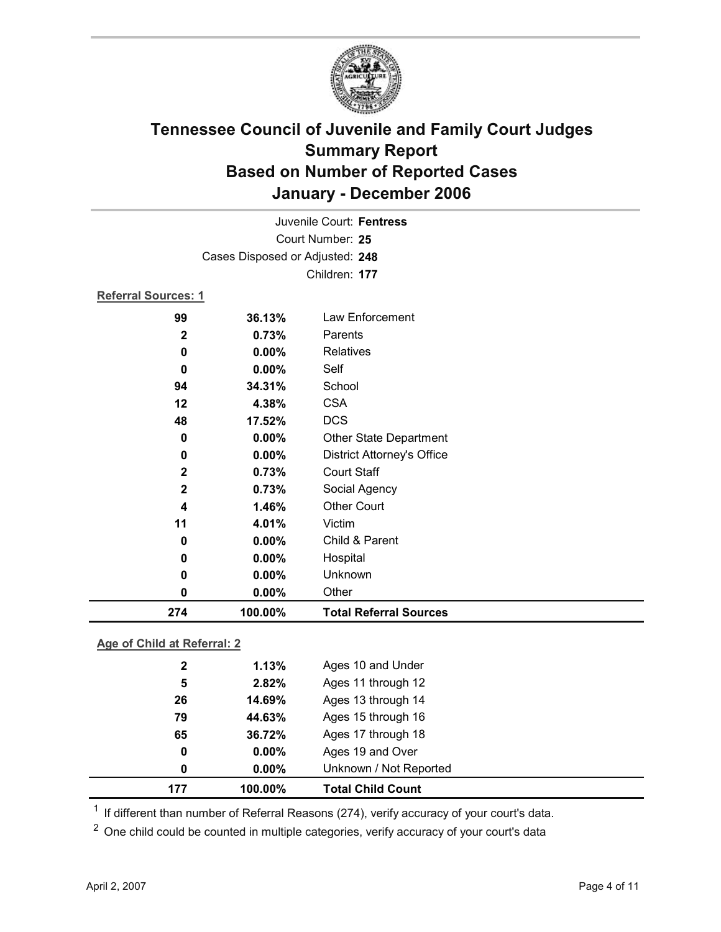

| 274                 | 100.00%                         | <b>Total Referral Sources</b>     |  |  |
|---------------------|---------------------------------|-----------------------------------|--|--|
| 0                   | 0.00%                           | Other                             |  |  |
| 0                   | $0.00\%$                        | Unknown                           |  |  |
| 0                   | 0.00%                           | Hospital                          |  |  |
| 0                   | 0.00%                           | Child & Parent                    |  |  |
| 11                  | 4.01%                           | Victim                            |  |  |
| 4                   | 1.46%                           | <b>Other Court</b>                |  |  |
| $\mathbf{2}$        | 0.73%                           | Social Agency                     |  |  |
| $\mathbf{2}$        | 0.73%                           | <b>Court Staff</b>                |  |  |
| 0                   | 0.00%                           | <b>District Attorney's Office</b> |  |  |
| 0                   | 0.00%                           | Other State Department            |  |  |
| 48                  | 17.52%                          | <b>DCS</b>                        |  |  |
| 12                  | 4.38%                           | <b>CSA</b>                        |  |  |
| 94                  | 34.31%                          | School                            |  |  |
| 0                   | 0.00%                           | Self                              |  |  |
| 0                   | $0.00\%$                        | Relatives                         |  |  |
| $\mathbf 2$         | 0.73%                           | Parents                           |  |  |
| 99                  | 36.13%                          | Law Enforcement                   |  |  |
| Referral Sources: 1 |                                 |                                   |  |  |
|                     |                                 | Children: 177                     |  |  |
|                     | Cases Disposed or Adjusted: 248 |                                   |  |  |
| Court Number: 25    |                                 |                                   |  |  |
|                     | Juvenile Court: Fentress        |                                   |  |  |
|                     |                                 |                                   |  |  |

### **Age of Child at Referral: 2**

| 177          | 100.00%  | <b>Total Child Count</b> |
|--------------|----------|--------------------------|
| 0            | $0.00\%$ | Unknown / Not Reported   |
| 0            | $0.00\%$ | Ages 19 and Over         |
| 65           | 36.72%   | Ages 17 through 18       |
| 79           | 44.63%   | Ages 15 through 16       |
| 26           | 14.69%   | Ages 13 through 14       |
| 5            | 2.82%    | Ages 11 through 12       |
| $\mathbf{2}$ | 1.13%    | Ages 10 and Under        |
|              |          |                          |

 $1$  If different than number of Referral Reasons (274), verify accuracy of your court's data.

<sup>2</sup> One child could be counted in multiple categories, verify accuracy of your court's data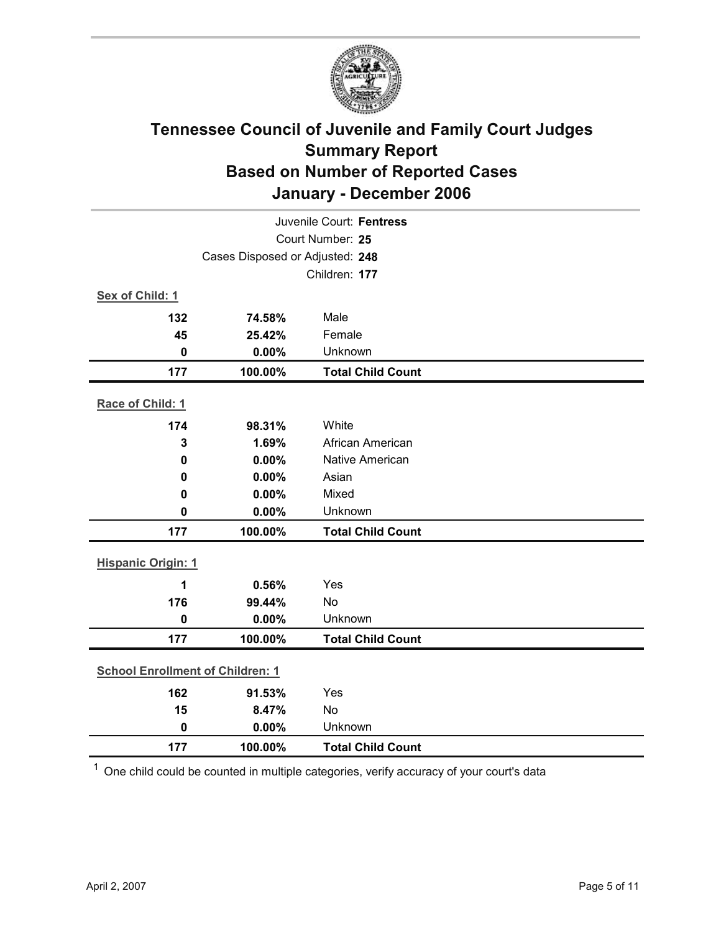

| Juvenile Court: Fentress        |                                         |                          |  |  |
|---------------------------------|-----------------------------------------|--------------------------|--|--|
| Court Number: 25                |                                         |                          |  |  |
| Cases Disposed or Adjusted: 248 |                                         |                          |  |  |
|                                 |                                         | Children: 177            |  |  |
| Sex of Child: 1                 |                                         |                          |  |  |
| 132                             | 74.58%                                  | Male                     |  |  |
| 45                              | 25.42%                                  | Female                   |  |  |
| $\mathbf 0$                     | 0.00%                                   | Unknown                  |  |  |
| 177                             | 100.00%                                 | <b>Total Child Count</b> |  |  |
| Race of Child: 1                |                                         |                          |  |  |
| 174                             | 98.31%                                  | White                    |  |  |
| 3                               | 1.69%                                   | African American         |  |  |
| $\mathbf 0$                     | 0.00%                                   | Native American          |  |  |
| 0                               | 0.00%                                   | Asian                    |  |  |
| $\mathbf 0$                     | 0.00%                                   | Mixed                    |  |  |
| $\mathbf 0$                     | 0.00%                                   | Unknown                  |  |  |
| 177                             | 100.00%                                 | <b>Total Child Count</b> |  |  |
| <b>Hispanic Origin: 1</b>       |                                         |                          |  |  |
| 1                               | 0.56%                                   | Yes                      |  |  |
| 176                             | 99.44%                                  | <b>No</b>                |  |  |
| $\mathbf 0$                     | 0.00%                                   | Unknown                  |  |  |
| 177                             | 100.00%                                 | <b>Total Child Count</b> |  |  |
|                                 | <b>School Enrollment of Children: 1</b> |                          |  |  |
| 162                             | 91.53%                                  | Yes                      |  |  |
| 15                              | 8.47%                                   | No                       |  |  |
| $\mathbf 0$                     | 0.00%                                   | Unknown                  |  |  |
| 177                             | 100.00%                                 | <b>Total Child Count</b> |  |  |

 $1$  One child could be counted in multiple categories, verify accuracy of your court's data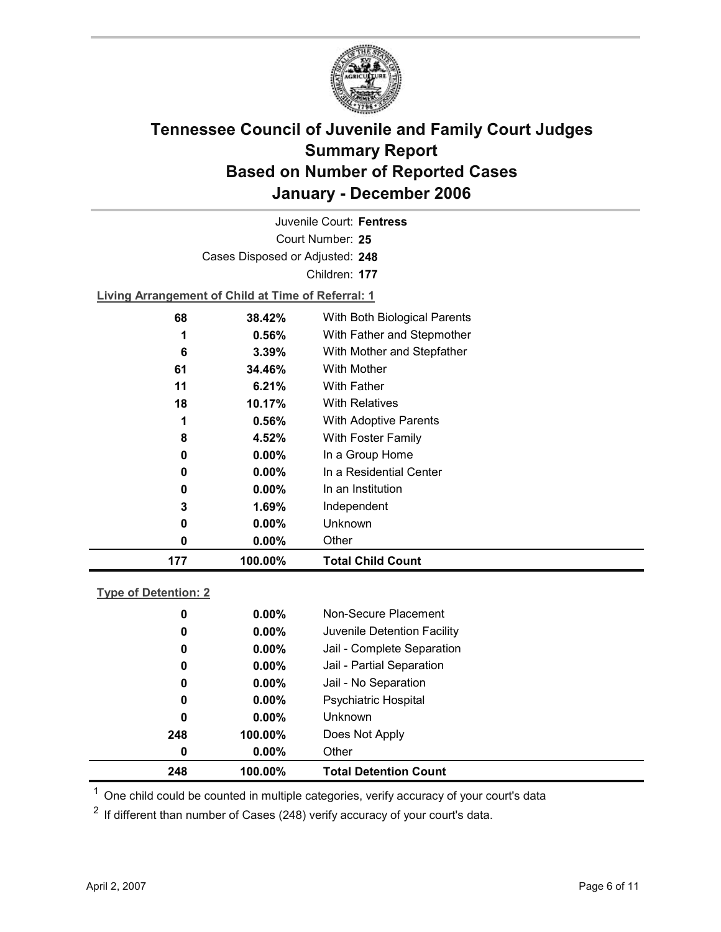

Court Number: **25** Juvenile Court: **Fentress** Cases Disposed or Adjusted: **248** Children: **177**

**Living Arrangement of Child at Time of Referral: 1**

| 177 | 100.00%  | <b>Total Child Count</b>     |  |
|-----|----------|------------------------------|--|
| 0   | $0.00\%$ | Other                        |  |
| 0   | $0.00\%$ | Unknown                      |  |
| 3   | 1.69%    | Independent                  |  |
| 0   | $0.00\%$ | In an Institution            |  |
| 0   | $0.00\%$ | In a Residential Center      |  |
| 0   | $0.00\%$ | In a Group Home              |  |
| 8   | 4.52%    | With Foster Family           |  |
| 1   | 0.56%    | <b>With Adoptive Parents</b> |  |
| 18  | 10.17%   | <b>With Relatives</b>        |  |
| 11  | 6.21%    | <b>With Father</b>           |  |
| 61  | 34.46%   | With Mother                  |  |
| 6   | 3.39%    | With Mother and Stepfather   |  |
| 1   | $0.56\%$ | With Father and Stepmother   |  |
| 68  | 38.42%   | With Both Biological Parents |  |
|     |          |                              |  |

### **Type of Detention: 2**

| 248 | 100.00%  | <b>Total Detention Count</b> |  |
|-----|----------|------------------------------|--|
| 0   | $0.00\%$ | Other                        |  |
| 248 | 100.00%  | Does Not Apply               |  |
| 0   | $0.00\%$ | <b>Unknown</b>               |  |
| 0   | $0.00\%$ | <b>Psychiatric Hospital</b>  |  |
| 0   | $0.00\%$ | Jail - No Separation         |  |
| 0   | $0.00\%$ | Jail - Partial Separation    |  |
| 0   | $0.00\%$ | Jail - Complete Separation   |  |
| 0   | $0.00\%$ | Juvenile Detention Facility  |  |
| 0   | $0.00\%$ | Non-Secure Placement         |  |
|     |          |                              |  |

 $<sup>1</sup>$  One child could be counted in multiple categories, verify accuracy of your court's data</sup>

 $2$  If different than number of Cases (248) verify accuracy of your court's data.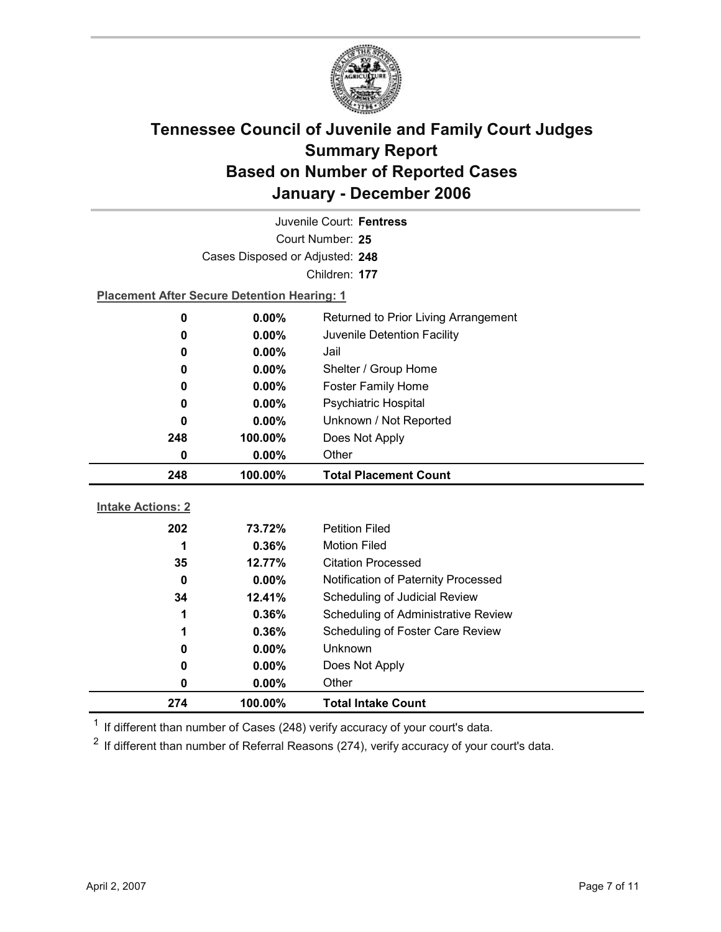

| Juvenile Court: Fentress |                                                    |                                      |  |  |
|--------------------------|----------------------------------------------------|--------------------------------------|--|--|
| Court Number: 25         |                                                    |                                      |  |  |
|                          | Cases Disposed or Adjusted: 248                    |                                      |  |  |
|                          |                                                    | Children: 177                        |  |  |
|                          | <b>Placement After Secure Detention Hearing: 1</b> |                                      |  |  |
| 0                        | 0.00%                                              | Returned to Prior Living Arrangement |  |  |
| 0                        | $0.00\%$                                           | Juvenile Detention Facility          |  |  |
| 0                        | 0.00%                                              | Jail                                 |  |  |
| 0                        | 0.00%                                              | Shelter / Group Home                 |  |  |
| 0                        | $0.00\%$                                           | <b>Foster Family Home</b>            |  |  |
| 0                        | 0.00%                                              | Psychiatric Hospital                 |  |  |
| 0                        | $0.00\%$                                           | Unknown / Not Reported               |  |  |
| 248                      | 100.00%                                            | Does Not Apply                       |  |  |
| 0                        | 0.00%                                              | Other                                |  |  |
|                          |                                                    |                                      |  |  |
| 248                      | 100.00%                                            | <b>Total Placement Count</b>         |  |  |
|                          |                                                    |                                      |  |  |
| <b>Intake Actions: 2</b> |                                                    |                                      |  |  |
| 202                      | 73.72%                                             | <b>Petition Filed</b>                |  |  |
| 1                        | 0.36%                                              | <b>Motion Filed</b>                  |  |  |
| 35                       | 12.77%                                             | <b>Citation Processed</b>            |  |  |
| $\mathbf 0$              | 0.00%                                              | Notification of Paternity Processed  |  |  |
| 34                       | 12.41%                                             | Scheduling of Judicial Review        |  |  |
| 1                        | 0.36%                                              | Scheduling of Administrative Review  |  |  |
| 1                        | 0.36%                                              | Scheduling of Foster Care Review     |  |  |
| 0                        | $0.00\%$                                           | <b>Unknown</b>                       |  |  |
| 0                        | $0.00\%$                                           | Does Not Apply                       |  |  |
| 0<br>274                 | 0.00%<br>100.00%                                   | Other<br><b>Total Intake Count</b>   |  |  |

 $1$  If different than number of Cases (248) verify accuracy of your court's data.

 $2$  If different than number of Referral Reasons (274), verify accuracy of your court's data.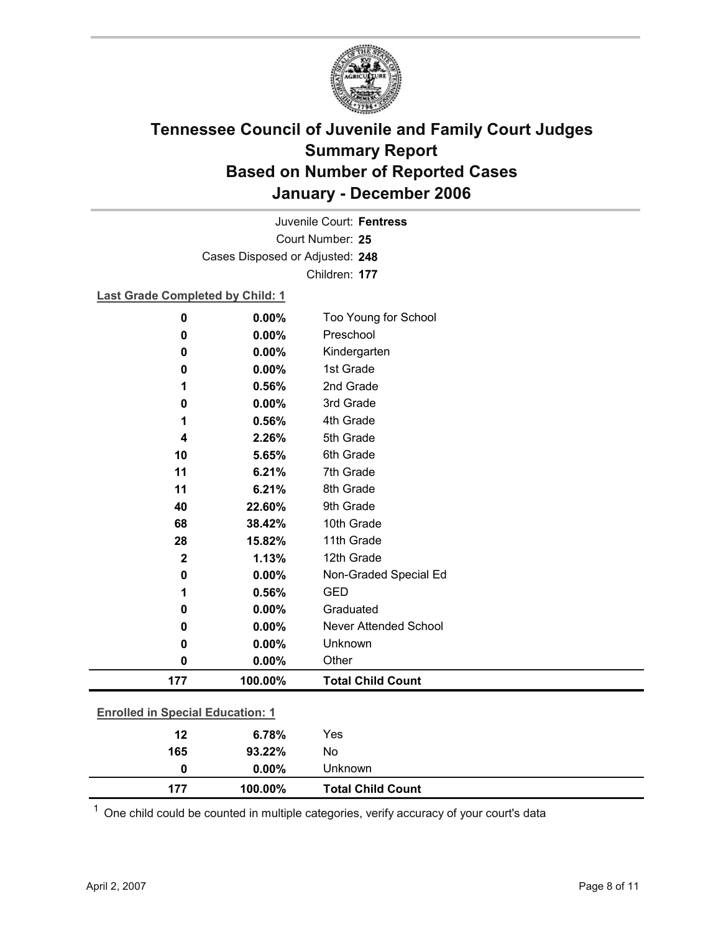

Court Number: **25** Juvenile Court: **Fentress** Cases Disposed or Adjusted: **248** Children: **177**

### **Last Grade Completed by Child: 1**

| $\mathbf 0$                             | 0.00%   | Too Young for School         |  |
|-----------------------------------------|---------|------------------------------|--|
| 0                                       | 0.00%   | Preschool                    |  |
| 0                                       | 0.00%   | Kindergarten                 |  |
| 0                                       | 0.00%   | 1st Grade                    |  |
| 1                                       | 0.56%   | 2nd Grade                    |  |
| 0                                       | 0.00%   | 3rd Grade                    |  |
| 1                                       | 0.56%   | 4th Grade                    |  |
| 4                                       | 2.26%   | 5th Grade                    |  |
| 10                                      | 5.65%   | 6th Grade                    |  |
| 11                                      | 6.21%   | 7th Grade                    |  |
| 11                                      | 6.21%   | 8th Grade                    |  |
| 40                                      | 22.60%  | 9th Grade                    |  |
| 68                                      | 38.42%  | 10th Grade                   |  |
| 28                                      | 15.82%  | 11th Grade                   |  |
| $\mathbf 2$                             | 1.13%   | 12th Grade                   |  |
| 0                                       | 0.00%   | Non-Graded Special Ed        |  |
| 1                                       | 0.56%   | <b>GED</b>                   |  |
| 0                                       | 0.00%   | Graduated                    |  |
| 0                                       | 0.00%   | <b>Never Attended School</b> |  |
| 0                                       | 0.00%   | Unknown                      |  |
| 0                                       | 0.00%   | Other                        |  |
| 177                                     | 100.00% | <b>Total Child Count</b>     |  |
| <b>Enrolled in Special Education: 1</b> |         |                              |  |
| 12                                      | 6.78%   | Yes                          |  |
| 165                                     | 93.22%  | No                           |  |

 $1$  One child could be counted in multiple categories, verify accuracy of your court's data

**0 0.00%** Unknown

**177 100.00% Total Child Count**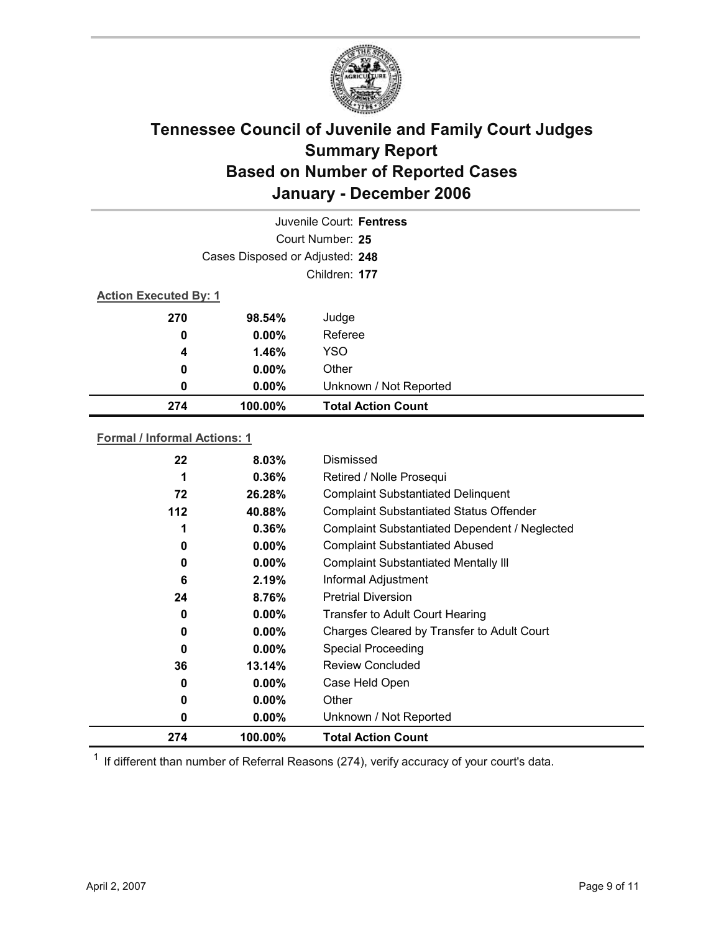

|     |                                 | Juvenile Court: Fentress  |  |  |  |
|-----|---------------------------------|---------------------------|--|--|--|
|     | Court Number: 25                |                           |  |  |  |
|     | Cases Disposed or Adjusted: 248 |                           |  |  |  |
|     | Children: 177                   |                           |  |  |  |
|     | <b>Action Executed By: 1</b>    |                           |  |  |  |
| 270 | 98.54%                          | Judge                     |  |  |  |
| 0   | $0.00\%$                        | Referee                   |  |  |  |
| 4   | 1.46%                           | <b>YSO</b>                |  |  |  |
| 0   | $0.00\%$                        | Other                     |  |  |  |
| 0   | $0.00\%$                        | Unknown / Not Reported    |  |  |  |
| 274 | 100.00%                         | <b>Total Action Count</b> |  |  |  |

### **Formal / Informal Actions: 1**

| 22    | $8.03\%$ | Dismissed                                      |
|-------|----------|------------------------------------------------|
| 1     | $0.36\%$ | Retired / Nolle Prosequi                       |
| 72    | 26.28%   | <b>Complaint Substantiated Delinquent</b>      |
| $112$ | 40.88%   | <b>Complaint Substantiated Status Offender</b> |
| 1     | 0.36%    | Complaint Substantiated Dependent / Neglected  |
| 0     | $0.00\%$ | <b>Complaint Substantiated Abused</b>          |
| 0     | $0.00\%$ | <b>Complaint Substantiated Mentally III</b>    |
| 6     | 2.19%    | Informal Adjustment                            |
| 24    | 8.76%    | <b>Pretrial Diversion</b>                      |
| 0     | $0.00\%$ | <b>Transfer to Adult Court Hearing</b>         |
| 0     | $0.00\%$ | Charges Cleared by Transfer to Adult Court     |
| 0     | $0.00\%$ | <b>Special Proceeding</b>                      |
| 36    | 13.14%   | <b>Review Concluded</b>                        |
| 0     | $0.00\%$ | Case Held Open                                 |
| 0     | $0.00\%$ | Other                                          |
| 0     | $0.00\%$ | Unknown / Not Reported                         |
| 274   | 100.00%  | <b>Total Action Count</b>                      |

 $1$  If different than number of Referral Reasons (274), verify accuracy of your court's data.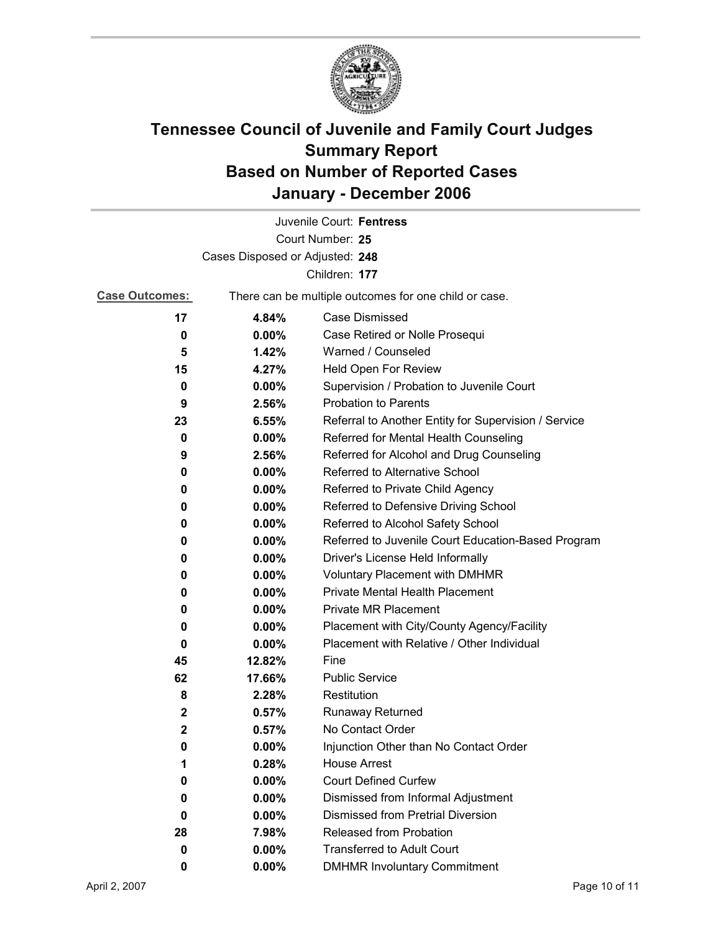

|                                 |                                                       | Juvenile Court: Fentress                             |  |
|---------------------------------|-------------------------------------------------------|------------------------------------------------------|--|
|                                 |                                                       | Court Number: 25                                     |  |
| Cases Disposed or Adjusted: 248 |                                                       |                                                      |  |
|                                 |                                                       | Children: 177                                        |  |
| <b>Case Outcomes:</b>           | There can be multiple outcomes for one child or case. |                                                      |  |
| 17                              | 4.84%                                                 | <b>Case Dismissed</b>                                |  |
| 0                               | $0.00\%$                                              | Case Retired or Nolle Prosequi                       |  |
| 5                               | 1.42%                                                 | Warned / Counseled                                   |  |
| 15                              | 4.27%                                                 | Held Open For Review                                 |  |
| 0                               | $0.00\%$                                              | Supervision / Probation to Juvenile Court            |  |
| 9                               | 2.56%                                                 | <b>Probation to Parents</b>                          |  |
| 23                              | 6.55%                                                 | Referral to Another Entity for Supervision / Service |  |
| 0                               | 0.00%                                                 | Referred for Mental Health Counseling                |  |
| 9                               | 2.56%                                                 | Referred for Alcohol and Drug Counseling             |  |
| 0                               | 0.00%                                                 | Referred to Alternative School                       |  |
| 0                               | $0.00\%$                                              | Referred to Private Child Agency                     |  |
| 0                               | 0.00%                                                 | Referred to Defensive Driving School                 |  |
| 0                               | $0.00\%$                                              | Referred to Alcohol Safety School                    |  |
| 0                               | $0.00\%$                                              | Referred to Juvenile Court Education-Based Program   |  |
| 0                               | 0.00%                                                 | Driver's License Held Informally                     |  |
| 0                               | $0.00\%$                                              | <b>Voluntary Placement with DMHMR</b>                |  |
| 0                               | $0.00\%$                                              | Private Mental Health Placement                      |  |
| 0                               | $0.00\%$                                              | <b>Private MR Placement</b>                          |  |
| 0                               | $0.00\%$                                              | Placement with City/County Agency/Facility           |  |
| 0                               | $0.00\%$                                              | Placement with Relative / Other Individual           |  |
| 45                              | 12.82%                                                | Fine                                                 |  |
| 62                              | 17.66%                                                | <b>Public Service</b>                                |  |
| 8                               | 2.28%                                                 | Restitution                                          |  |
| $\mathbf{2}$                    | 0.57%                                                 | <b>Runaway Returned</b>                              |  |
| $\mathbf{2}$                    | 0.57%                                                 | No Contact Order                                     |  |
| 0                               | 0.00%                                                 | Injunction Other than No Contact Order               |  |
| 1                               | 0.28%                                                 | <b>House Arrest</b>                                  |  |
| 0                               | $0.00\%$                                              | <b>Court Defined Curfew</b>                          |  |
| 0                               | 0.00%                                                 | Dismissed from Informal Adjustment                   |  |
| 0                               | $0.00\%$                                              | <b>Dismissed from Pretrial Diversion</b>             |  |
| 28                              | 7.98%                                                 | Released from Probation                              |  |
| 0                               | 0.00%                                                 | <b>Transferred to Adult Court</b>                    |  |
| 0                               | $0.00\%$                                              | <b>DMHMR Involuntary Commitment</b>                  |  |